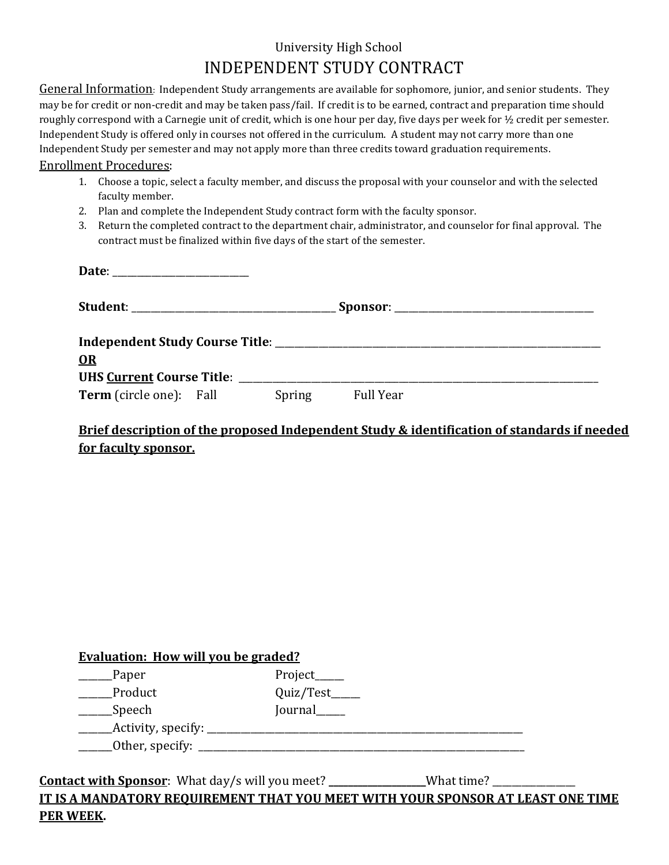# University High School INDEPENDENT STUDY CONTRACT

General Information:Independent Study arrangements are available for sophomore, junior, and senior students. They may be for credit or non-credit and may be taken pass/fail. If credit is to be earned, contract and preparation time should roughly correspond with a Carnegie unit of credit, which is one hour per day, five days per week for ½ credit per semester. Independent Study is offered only in courses not offered in the curriculum. A student may not carry more than one Independent Study per semester and may not apply more than three credits toward graduation requirements.

#### Enrollment Procedures:

- 1. Choose a topic, select a faculty member, and discuss the proposal with your counselor and with the selected faculty member.
- 2. Plan and complete the Independent Study contract form with the faculty sponsor.
- 3. Return the completed contract to the department chair, administrator, and counselor for final approval. The contract must be finalized within five days of the start of the semester.

| OR                             |  |        |                  |  |  |  |  |
|--------------------------------|--|--------|------------------|--|--|--|--|
|                                |  |        |                  |  |  |  |  |
| <b>Term</b> (circle one): Fall |  | Spring | <b>Full Year</b> |  |  |  |  |

# **Brief description of the proposed Independent Study & identification of standards if needed for faculty sponsor.**

| <b>Evaluation: How will you be graded?</b> |            |  |  |  |
|--------------------------------------------|------------|--|--|--|
| Paper                                      | Project___ |  |  |  |
| Product                                    | Quiz/Test_ |  |  |  |
| Speech                                     | Journal    |  |  |  |
| Activity, specify:                         |            |  |  |  |
| Other, specify:                            |            |  |  |  |

**Contact with Sponsor**: What day/s will you meet? **\_\_\_\_\_\_\_\_\_\_\_\_\_\_\_\_\_\_\_\_**What time? \_\_\_\_\_\_\_\_\_\_\_\_\_\_\_\_\_ **IT IS A MANDATORY REQUIREMENT THAT YOU MEET WITH YOUR SPONSOR AT LEAST ONE TIME PER WEEK.**